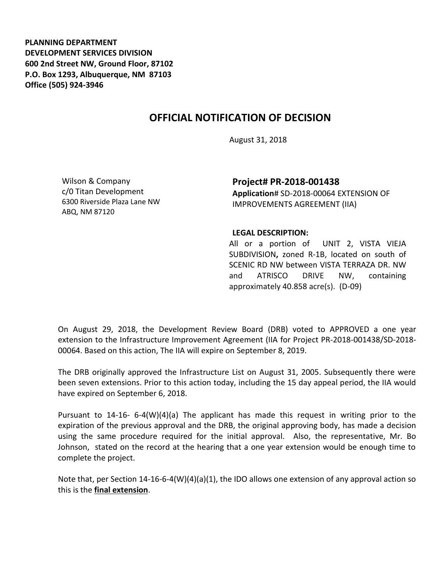**PLANNING DEPARTMENT DEVELOPMENT SERVICES DIVISION 600 2nd Street NW, Ground Floor, 87102 P.O. Box 1293, Albuquerque, NM 87103 Office (505) 924-3946** 

## **OFFICIAL NOTIFICATION OF DECISION**

August 31, 2018

Wilson & Company c/0 Titan Development 6300 Riverside Plaza Lane NW ABQ, NM 87120

**Project# PR-2018-001438 Application**# SD-2018-00064 EXTENSION OF IMPROVEMENTS AGREEMENT (IIA)

## **LEGAL DESCRIPTION:**

All or a portion of UNIT 2, VISTA VIEJA SUBDIVISION**,** zoned R-1B, located on south of SCENIC RD NW between VISTA TERRAZA DR. NW and ATRISCO DRIVE NW, containing approximately 40.858 acre(s). (D-09)

On August 29, 2018, the Development Review Board (DRB) voted to APPROVED a one year extension to the Infrastructure Improvement Agreement (IIA for Project PR-2018-001438/SD-2018- 00064. Based on this action, The IIA will expire on September 8, 2019.

The DRB originally approved the Infrastructure List on August 31, 2005. Subsequently there were been seven extensions. Prior to this action today, including the 15 day appeal period, the IIA would have expired on September 6, 2018.

Pursuant to 14-16- 6-4(W)(4)(a) The applicant has made this request in writing prior to the expiration of the previous approval and the DRB, the original approving body, has made a decision using the same procedure required for the initial approval. Also, the representative, Mr. Bo Johnson, stated on the record at the hearing that a one year extension would be enough time to complete the project.

Note that, per Section 14-16-6-4(W)(4)(a)(1), the IDO allows one extension of any approval action so this is the **final extension**.